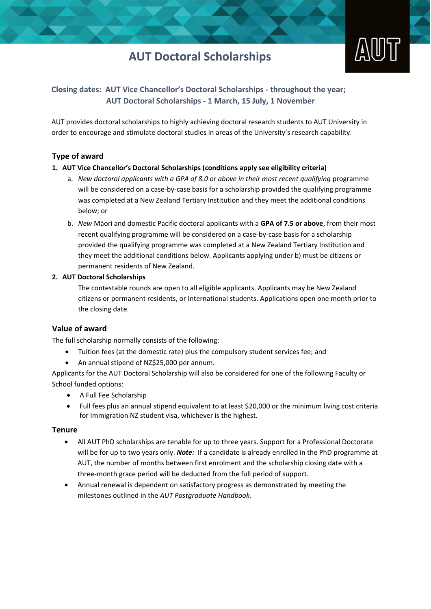## **AUT Doctoral Scholarships**



## **Closing dates: AUT Vice Chancellor's Doctoral Scholarships - throughout the year; AUT Doctoral Scholarships - 1 March, 15 July, 1 November**

AUT provides doctoral scholarships to highly achieving doctoral research students to AUT University in order to encourage and stimulate doctoral studies in areas of the University's research capability.

## **Type of award**

### **1. AUT Vice Chancellor's Doctoral Scholarships (conditions apply see eligibility criteria)**

- a. *New doctoral applicants with a GPA of 8.0 or above in their most recent qualifying* programme will be considered on a case-by-case basis for a scholarship provided the qualifying programme was completed at a New Zealand Tertiary Institution and they meet the additional conditions below; or
- b. *New* Māori and domestic Pacific doctoral applicants with a **GPA of 7.5 or above**, from their most recent qualifying programme will be considered on a case-by-case basis for a scholarship provided the qualifying programme was completed at a New Zealand Tertiary Institution and they meet the additional conditions below. Applicants applying under b) must be citizens or permanent residents of New Zealand.

#### **2. AUT Doctoral Scholarships**

The contestable rounds are open to all eligible applicants. Applicants may be New Zealand citizens or permanent residents, or International students. Applications open one month prior to the closing date.

## **Value of award**

The full scholarship normally consists of the following:

- Tuition fees (at the domestic rate) plus the compulsory student services fee; and
- An annual stipend of NZ\$25,000 per annum.

Applicants for the AUT Doctoral Scholarship will also be considered for one of the following Faculty or School funded options:

- A Full Fee Scholarship
- Full fees plus an annual stipend equivalent to at least \$20,000 or the minimum living cost criteria for Immigration NZ student visa, whichever is the highest.

#### **Tenure**

- All AUT PhD scholarships are tenable for up to three years. Support for a Professional Doctorate will be for up to two years only. *Note:* If a candidate is already enrolled in the PhD programme at AUT, the number of months between first enrolment and the scholarship closing date with a three-month grace period will be deducted from the full period of support.
- Annual renewal is dependent on satisfactory progress as demonstrated by meeting the milestones outlined in the *AUT Postgraduate Handbook.*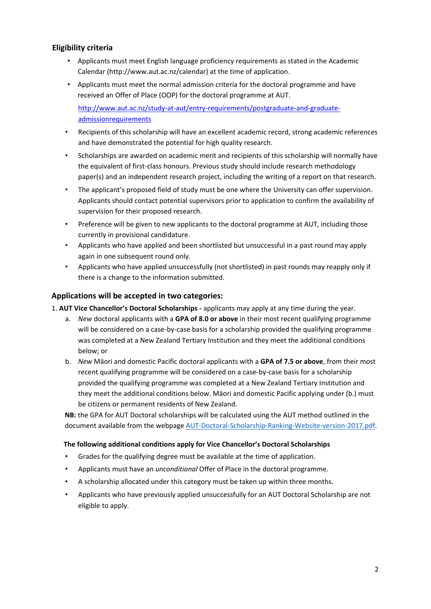## **Eligibility criteria**

- Applicants must meet English language proficiency requirements as stated in the Academic Calendar [\(http://www.aut.ac.nz/calendar\)](http://www.aut.ac.nz/calendar) at the time of application.
- Applicants must meet the normal admission criteria for the doctoral programme and have received an Offer of Place (OOP) for the doctoral programme at AUT.

[http://www.aut.ac.nz/study-at-aut/entry-requirements/postgraduate-and-graduate](http://www.aut.ac.nz/study-at-aut/entry-requirements/postgraduate-and-graduate-admission-requirements)[admissionrequirements](http://www.aut.ac.nz/study-at-aut/entry-requirements/postgraduate-and-graduate-admission-requirements)

- Recipients of this scholarship will have an excellent academic record, strong academic references and have demonstrated the potential for high quality research.
- Scholarships are awarded on academic merit and recipients of this scholarship will normally have the equivalent of first-class honours. Previous study should include research methodology paper(s) and an independent research project, including the writing of a report on that research.
- The applicant's proposed field of study must be one where the University can offer supervision. Applicants should contact potential supervisors prior to application to confirm the availability of supervision for their proposed research.
- Preference will be given to new applicants to the doctoral programme at AUT, including those currently in provisional candidature.
- Applicants who have applied and been shortlisted but unsuccessful in a past round may apply again in one subsequent round only.
- Applicants who have applied unsuccessfully (not shortlisted) in past rounds may reapply only if there is a change to the information submitted.

## **Applications will be accepted in two categories:**

- 1. **AUT Vice Chancellor's Doctoral Scholarships -** applicants may apply at any time during the year.
	- a. *New* doctoral applicants with a **GPA of 8.0 or above** in their most recent qualifying programme will be considered on a case-by-case basis for a scholarship provided the qualifying programme was completed at a New Zealand Tertiary Institution and they meet the additional conditions below; or
	- b. *New* Māori and domestic Pacific doctoral applicants with a **GPA of 7.5 or above**, from their most recent qualifying programme will be considered on a case-by-case basis for a scholarship provided the qualifying programme was completed at a New Zealand Tertiary Institution and they meet the additional conditions below. Māori and domestic Pacific applying under (b.) must be citizens or permanent residents of New Zealand.

**NB:** the GPA for AUT Doctoral scholarships will be calculated using the AUT method outlined in the document available from the webpa[ge](http://www.aut.ac.nz/study-at-aut/fees-scholarships-and-finance/scholarships/vice-chancellors-doctoral-scholarships) [AUT-Doctoral-Scholarship-Ranking-Website-version-2017.pdf](https://www.aut.ac.nz/__data/assets/pdf_file/0003/123546/AUT-Doctoral-Scholarship-Ranking-Website-version-2017.pdf)[.](http://www.aut.ac.nz/study-at-aut/fees-scholarships-and-finance/scholarships/vice-chancellors-doctoral-scholarships)

#### **The following additional conditions apply for Vice Chancellor's Doctoral Scholarships**

- Grades for the qualifying degree must be available at the time of application.
- Applicants must have an *unconditional* Offer of Place in the doctoral programme.
- A scholarship allocated under this category must be taken up within three months.
- Applicants who have previously applied unsuccessfully for an AUT Doctoral Scholarship are not eligible to apply.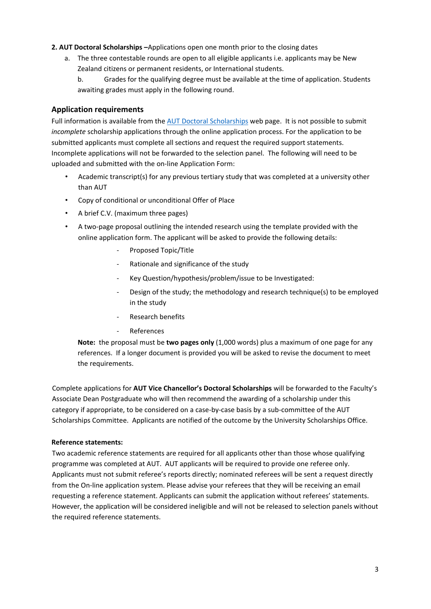#### **2. AUT Doctoral Scholarships –**Applications open one month prior to the closing dates

a. The three contestable rounds are open to all eligible applicants i.e. applicants may be New Zealand citizens or permanent residents, or International students.

b. Grades for the qualifying degree must be available at the time of application. Students awaiting grades must apply in the following round.

## **Application requirements**

Full information is available from th[e AUT Doctoral Scholarships](https://www.aut.ac.nz/study/fees-and-scholarships/scholarships-and-awards-at-aut/doctoral-scholarships) web pag[e.](http://www.phdscholar.ac.nz/) It is not possible to submit *incomplete* scholarship applications through the online application process. For the application to be submitted applicants must complete all sections and request the required support statements. Incomplete applications will not be forwarded to the selection panel. The following will need to be uploaded and submitted with the on-line Application Form:

- Academic transcript(s) for any previous tertiary study that was completed at a university other than AUT
- Copy of conditional or unconditional Offer of Place
- A brief C.V. (maximum three pages)
- A two-page proposal outlining the intended research using the template provided with the online application form. The applicant will be asked to provide the following details:
	- Proposed Topic/Title
	- Rationale and significance of the study
	- Key Question/hypothesis/problem/issue to be Investigated:
	- Design of the study; the methodology and research technique(s) to be employed in the study
	- Research benefits
	- **References**

**Note:** the proposal must be **two pages only** (1,000 words) plus a maximum of one page for any references. If a longer document is provided you will be asked to revise the document to meet the requirements.

Complete applications for **AUT Vice Chancellor's Doctoral Scholarships** will be forwarded to the Faculty's Associate Dean Postgraduate who will then recommend the awarding of a scholarship under this category if appropriate, to be considered on a case-by-case basis by a sub-committee of the AUT Scholarships Committee. Applicants are notified of the outcome by the University Scholarships Office.

#### **Reference statements:**

Two academic reference statements are required for all applicants other than those whose qualifying programme was completed at AUT. AUT applicants will be required to provide one referee only. Applicants must not submit referee's reports directly; nominated referees will be sent a request directly from the On-line application system. Please advise your referees that they will be receiving an email requesting a reference statement. Applicants can submit the application without referees' statements. However, the application will be considered ineligible and will not be released to selection panels without the required reference statements.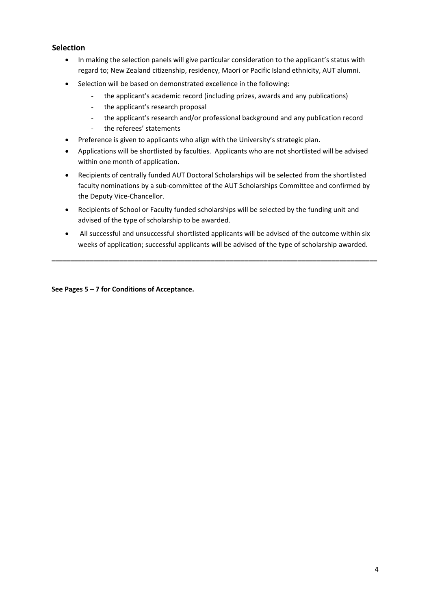## **Selection**

- In making the selection panels will give particular consideration to the applicant's status with regard to; New Zealand citizenship, residency, Maori or Pacific Island ethnicity, AUT alumni.
- Selection will be based on demonstrated excellence in the following:
	- the applicant's academic record (including prizes, awards and any publications)
	- the applicant's research proposal
	- the applicant's research and/or professional background and any publication record
	- the referees' statements
- Preference is given to applicants who align with the University's strategic plan.
- Applications will be shortlisted by faculties. Applicants who are not shortlisted will be advised within one month of application.
- Recipients of centrally funded AUT Doctoral Scholarships will be selected from the shortlisted faculty nominations by a sub-committee of the AUT Scholarships Committee and confirmed by the Deputy Vice-Chancellor.
- Recipients of School or Faculty funded scholarships will be selected by the funding unit and advised of the type of scholarship to be awarded.
- All successful and unsuccessful shortlisted applicants will be advised of the outcome within six weeks of application; successful applicants will be advised of the type of scholarship awarded.

**\_\_\_\_\_\_\_\_\_\_\_\_\_\_\_\_\_\_\_\_\_\_\_\_\_\_\_\_\_\_\_\_\_\_\_\_\_\_\_\_\_\_\_\_\_\_\_\_\_\_\_\_\_\_\_\_\_\_\_\_\_\_\_\_\_\_\_\_\_\_\_\_\_\_\_\_\_\_\_\_\_\_\_\_\_\_** 

**See Pages 5 – 7 for Conditions of Acceptance.**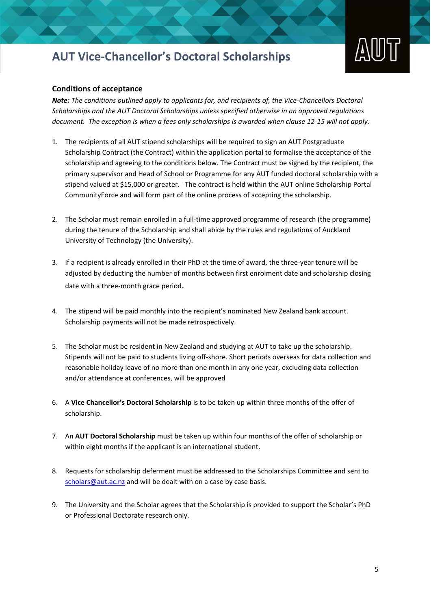# **AUT Vice-Chancellor's Doctoral Scholarships**



#### **Conditions of acceptance**

*Note: The conditions outlined apply to applicants for, and recipients of, the Vice-Chancellors Doctoral Scholarships and the AUT Doctoral Scholarships unless specified otherwise in an approved regulations document. The exception is when a fees only scholarships is awarded when clause 12-15 will not apply.*

- 1. The recipients of all AUT stipend scholarships will be required to sign an AUT Postgraduate Scholarship Contract (the Contract) within the application portal to formalise the acceptance of the scholarship and agreeing to the conditions below. The Contract must be signed by the recipient, the primary supervisor and Head of School or Programme for any AUT funded doctoral scholarship with a stipend valued at \$15,000 or greater. The contract is held within the AUT online Scholarship Portal CommunityForce and will form part of the online process of accepting the scholarship.
- 2. The Scholar must remain enrolled in a full-time approved programme of research (the programme) during the tenure of the Scholarship and shall abide by the rules and regulations of Auckland University of Technology (the University).
- 3. If a recipient is already enrolled in their PhD at the time of award, the three-year tenure will be adjusted by deducting the number of months between first enrolment date and scholarship closing date with a three-month grace period.
- 4. The stipend will be paid monthly into the recipient's nominated New Zealand bank account. Scholarship payments will not be made retrospectively.
- 5. The Scholar must be resident in New Zealand and studying at AUT to take up the scholarship. Stipends will not be paid to students living off-shore. Short periods overseas for data collection and reasonable holiday leave of no more than one month in any one year, excluding data collection and/or attendance at conferences, will be approved
- 6. A **Vice Chancellor's Doctoral Scholarship** is to be taken up within three months of the offer of scholarship.
- 7. An **AUT Doctoral Scholarship** must be taken up within four months of the offer of scholarship or within eight months if the applicant is an international student.
- 8. Requests for scholarship deferment must be addressed to the Scholarships Committee and sent to scholars@aut.ac.nz and will be dealt with on a case by case basis.
- 9. The University and the Scholar agrees that the Scholarship is provided to support the Scholar's PhD or Professional Doctorate research only.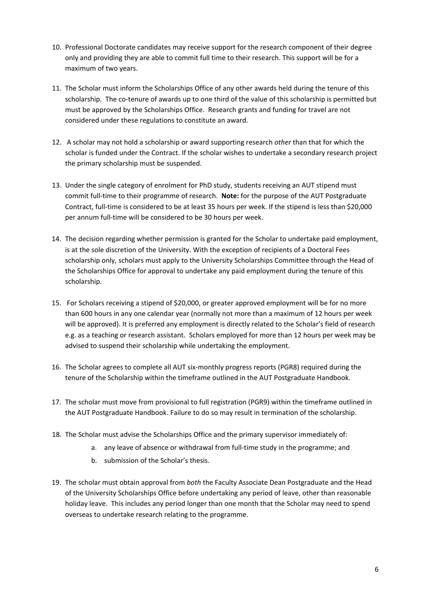- 10. Professional Doctorate candidates may receive support for the research component of their degree only and providing they are able to commit full time to their research. This support will be for a maximum of two years.
- 11. The Scholar must inform the Scholarships Office of any other awards held during the tenure of this scholarship. The co-tenure of awards up to one third of the value of this scholarship is permitted but must be approved by the Scholarships Office. Research grants and funding for travel are not considered under these regulations to constitute an award.
- 12. A scholar may not hold a scholarship or award supporting research *other* than that for which the scholar is funded under the Contract. If the scholar wishes to undertake a secondary research project the primary scholarship must be suspended.
- 13. Under the single category of enrolment for PhD study, students receiving an AUT stipend must commit full-time to their programme of research. **Note:** for the purpose of the AUT Postgraduate Contract, full-time is considered to be at least 35 hours per week. If the stipend is less than \$20,000 per annum full-time will be considered to be 30 hours per week.
- 14. The decision regarding whether permission is granted for the Scholar to undertake paid employment, is at the sole discretion of the University. With the exception of recipients of a Doctoral Fees scholarship only, scholars must apply to the University Scholarships Committee through the Head of the Scholarships Office for approval to undertake any paid employment during the tenure of this scholarship.
- 15. For Scholars receiving a stipend of \$20,000, or greater approved employment will be for no more than 600 hours in any one calendar year (normally not more than a maximum of 12 hours per week will be approved). It is preferred any employment is directly related to the Scholar's field of research e.g. as a teaching or research assistant. Scholars employed for more than 12 hours per week may be advised to suspend their scholarship while undertaking the employment.
- 16. The Scholar agrees to complete all AUT six-monthly progress reports (PGR8) required during the tenure of the Scholarship within the timeframe outlined in the AUT Postgraduate Handbook.
- 17. The scholar must move from provisional to full registration (PGR9) within the timeframe outlined in the AUT Postgraduate Handbook. Failure to do so may result in termination of the scholarship.
- 18. The Scholar must advise the Scholarships Office and the primary supervisor immediately of:
	- a. any leave of absence or withdrawal from full-time study in the programme; and
	- b. submission of the Scholar's thesis.
- 19. The scholar must obtain approval from *both* the Faculty Associate Dean Postgraduate and the Head of the University Scholarships Office before undertaking any period of leave, other than reasonable holiday leave. This includes any period longer than one month that the Scholar may need to spend overseas to undertake research relating to the programme.